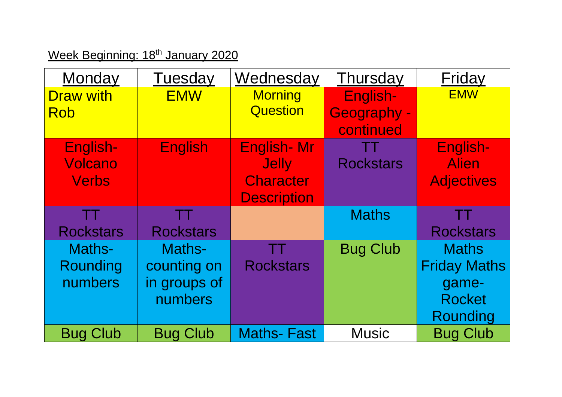## Week Beginning: 18<sup>th</sup> January 2020

| Monday           | Tuesday          | Wednesday          | Thursday           | Friday              |
|------------------|------------------|--------------------|--------------------|---------------------|
| <b>Draw with</b> | <b>EMW</b>       | <b>Morning</b>     | English-           | <b>EMW</b>          |
| Rob              |                  | <b>Question</b>    | <b>Geography -</b> |                     |
|                  |                  |                    | continued          |                     |
| English-         | <b>English</b>   | <b>English-Mr</b>  | <u>an</u> Ti       | English-            |
| <b>Volcano</b>   |                  | <b>Jelly</b>       | <b>Rockstars</b>   | <b>Alien</b>        |
| <b>Verbs</b>     |                  | <b>Character</b>   |                    | <b>Adjectives</b>   |
|                  |                  | <b>Description</b> |                    |                     |
| TT               | ÆT.              |                    | <b>Maths</b>       | TT                  |
| <b>Rockstars</b> | <b>Rockstars</b> |                    |                    | <b>Rockstars</b>    |
| Maths-           | Maths-           |                    | <b>Bug Club</b>    | <b>Maths</b>        |
| Rounding         | counting on      | <b>Rockstars</b>   |                    | <b>Friday Maths</b> |
| numbers          | in groups of     |                    |                    | game-               |
|                  | numbers          |                    |                    | <b>Rocket</b>       |
|                  |                  |                    |                    | Rounding            |
| <b>Bug Club</b>  | <b>Bug Club</b>  | <b>Maths-Fast</b>  | <b>Music</b>       | <b>Bug Club</b>     |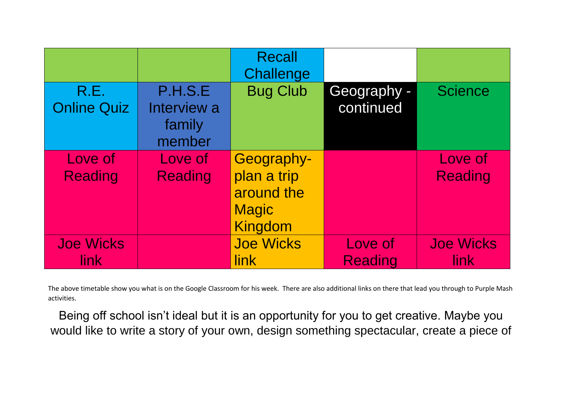|                            |                                            | <b>Recall</b><br>Challenge                                                |                           |                                 |
|----------------------------|--------------------------------------------|---------------------------------------------------------------------------|---------------------------|---------------------------------|
| R.E.<br><b>Online Quiz</b> | P.H.S.E<br>Interview a<br>family<br>member | <b>Bug Club</b>                                                           | Geography -<br>continued  | <b>Science</b>                  |
| Love of<br><b>Reading</b>  | Love of<br><b>Reading</b>                  | Geography-<br>plan a trip<br>around the<br><b>Magic</b><br><b>Kingdom</b> |                           | Love of<br><b>Reading</b>       |
| <b>Joe Wicks</b><br>link   |                                            | <b>Joe Wicks</b><br>link                                                  | Love of<br><b>Reading</b> | <b>Joe Wicks</b><br><b>link</b> |

The above timetable show you what is on the Google Classroom for his week. There are also additional links on there that lead you through to Purple Mash activities.

Being off school isn't ideal but it is an opportunity for you to get creative. Maybe you would like to write a story of your own, design something spectacular, create a piece of